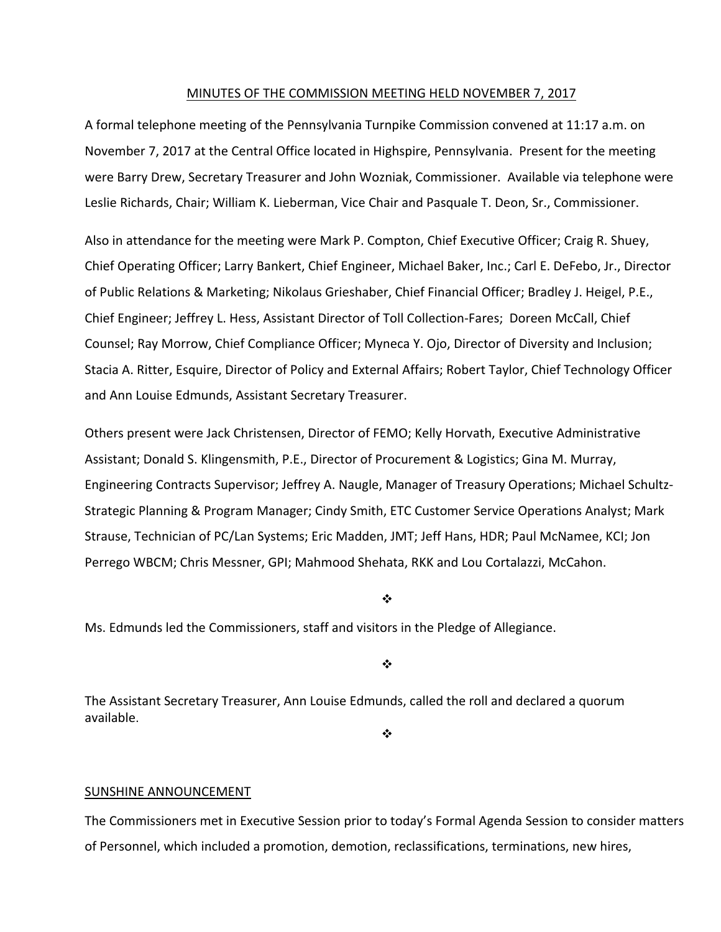#### MINUTES OF THE COMMISSION MEETING HELD NOVEMBER 7, 2017

A formal telephone meeting of the Pennsylvania Turnpike Commission convened at 11:17 a.m. on November 7, 2017 at the Central Office located in Highspire, Pennsylvania. Present for the meeting were Barry Drew, Secretary Treasurer and John Wozniak, Commissioner. Available via telephone were Leslie Richards, Chair; William K. Lieberman, Vice Chair and Pasquale T. Deon, Sr., Commissioner.

Also in attendance for the meeting were Mark P. Compton, Chief Executive Officer; Craig R. Shuey, Chief Operating Officer; Larry Bankert, Chief Engineer, Michael Baker, Inc.; Carl E. DeFebo, Jr., Director of Public Relations & Marketing; Nikolaus Grieshaber, Chief Financial Officer; Bradley J. Heigel, P.E., Chief Engineer; Jeffrey L. Hess, Assistant Director of Toll Collection‐Fares; Doreen McCall, Chief Counsel; Ray Morrow, Chief Compliance Officer; Myneca Y. Ojo, Director of Diversity and Inclusion; Stacia A. Ritter, Esquire, Director of Policy and External Affairs; Robert Taylor, Chief Technology Officer and Ann Louise Edmunds, Assistant Secretary Treasurer.

Others present were Jack Christensen, Director of FEMO; Kelly Horvath, Executive Administrative Assistant; Donald S. Klingensmith, P.E., Director of Procurement & Logistics; Gina M. Murray, Engineering Contracts Supervisor; Jeffrey A. Naugle, Manager of Treasury Operations; Michael Schultz‐ Strategic Planning & Program Manager; Cindy Smith, ETC Customer Service Operations Analyst; Mark Strause, Technician of PC/Lan Systems; Eric Madden, JMT; Jeff Hans, HDR; Paul McNamee, KCI; Jon Perrego WBCM; Chris Messner, GPI; Mahmood Shehata, RKK and Lou Cortalazzi, McCahon.

#### ❖

Ms. Edmunds led the Commissioners, staff and visitors in the Pledge of Allegiance.

❖

The Assistant Secretary Treasurer, Ann Louise Edmunds, called the roll and declared a quorum available.

 $\frac{1}{2}$ 

#### SUNSHINE ANNOUNCEMENT

The Commissioners met in Executive Session prior to today's Formal Agenda Session to consider matters of Personnel, which included a promotion, demotion, reclassifications, terminations, new hires,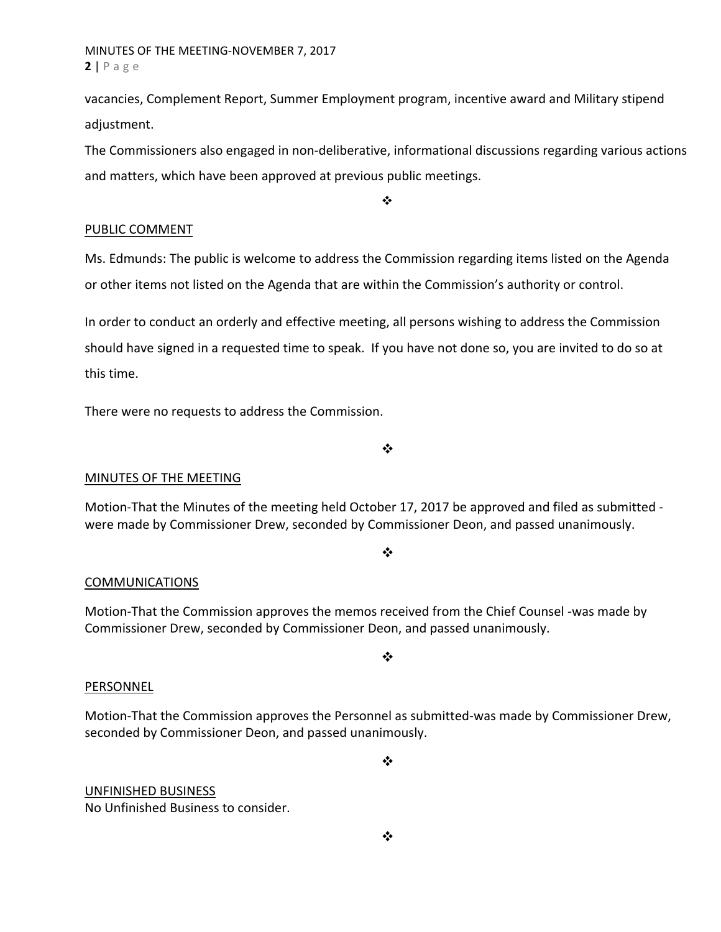## MINUTES OF THE MEETING‐NOVEMBER 7, 2017 **2** | Page

vacancies, Complement Report, Summer Employment program, incentive award and Military stipend adjustment.

The Commissioners also engaged in non‐deliberative, informational discussions regarding various actions and matters, which have been approved at previous public meetings.

❖

### PUBLIC COMMENT

Ms. Edmunds: The public is welcome to address the Commission regarding items listed on the Agenda or other items not listed on the Agenda that are within the Commission's authority or control.

In order to conduct an orderly and effective meeting, all persons wishing to address the Commission should have signed in a requested time to speak. If you have not done so, you are invited to do so at this time.

There were no requests to address the Commission.

 $\frac{1}{2}$ 

## MINUTES OF THE MEETING

Motion-That the Minutes of the meeting held October 17, 2017 be approved and filed as submitted were made by Commissioner Drew, seconded by Commissioner Deon, and passed unanimously.

❖

### COMMUNICATIONS

Motion‐That the Commission approves the memos received from the Chief Counsel ‐was made by Commissioner Drew, seconded by Commissioner Deon, and passed unanimously.

### $\frac{1}{2}$

### PERSONNEL

Motion‐That the Commission approves the Personnel as submitted‐was made by Commissioner Drew, seconded by Commissioner Deon, and passed unanimously.

 $\frac{1}{2}$ 

UNFINISHED BUSINESS No Unfinished Business to consider.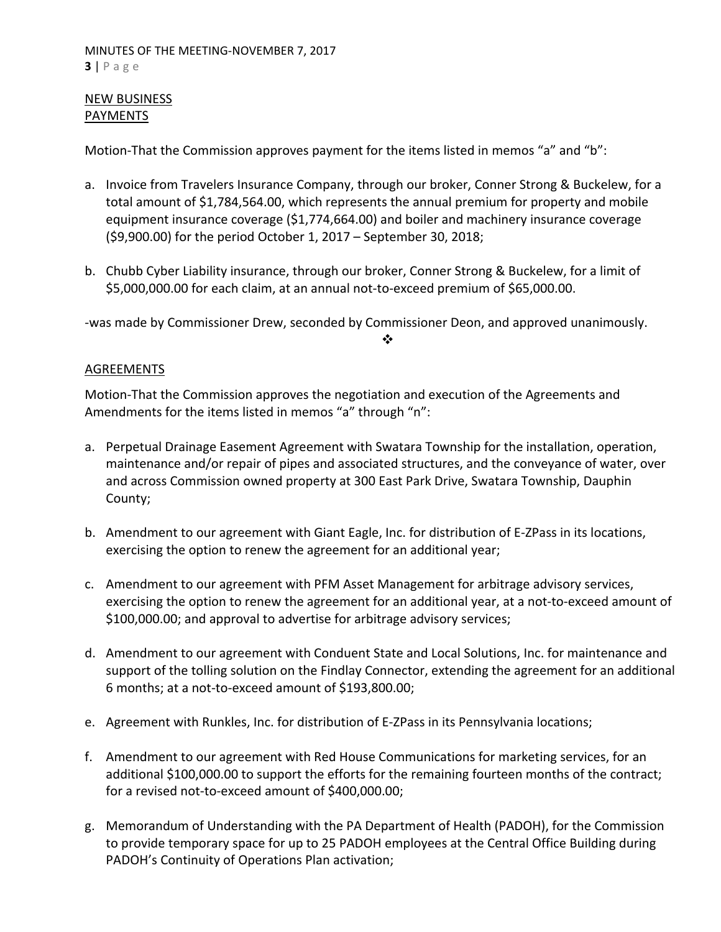# NEW BUSINESS PAYMENTS

Motion-That the Commission approves payment for the items listed in memos "a" and "b":

- a. Invoice from Travelers Insurance Company, through our broker, Conner Strong & Buckelew, for a total amount of \$1,784,564.00, which represents the annual premium for property and mobile equipment insurance coverage (\$1,774,664.00) and boiler and machinery insurance coverage (\$9,900.00) for the period October 1, 2017 – September 30, 2018;
- b. Chubb Cyber Liability insurance, through our broker, Conner Strong & Buckelew, for a limit of \$5,000,000.00 for each claim, at an annual not‐to‐exceed premium of \$65,000.00.

‐was made by Commissioner Drew, seconded by Commissioner Deon, and approved unanimously.

 $\frac{1}{2}$ 

## AGREEMENTS

Motion‐That the Commission approves the negotiation and execution of the Agreements and Amendments for the items listed in memos "a" through "n":

- a. Perpetual Drainage Easement Agreement with Swatara Township for the installation, operation, maintenance and/or repair of pipes and associated structures, and the conveyance of water, over and across Commission owned property at 300 East Park Drive, Swatara Township, Dauphin County;
- b. Amendment to our agreement with Giant Eagle, Inc. for distribution of E‐ZPass in its locations, exercising the option to renew the agreement for an additional year;
- c. Amendment to our agreement with PFM Asset Management for arbitrage advisory services, exercising the option to renew the agreement for an additional year, at a not‐to‐exceed amount of \$100,000.00; and approval to advertise for arbitrage advisory services;
- d. Amendment to our agreement with Conduent State and Local Solutions, Inc. for maintenance and support of the tolling solution on the Findlay Connector, extending the agreement for an additional 6 months; at a not‐to‐exceed amount of \$193,800.00;
- e. Agreement with Runkles, Inc. for distribution of E‐ZPass in its Pennsylvania locations;
- f. Amendment to our agreement with Red House Communications for marketing services, for an additional \$100,000.00 to support the efforts for the remaining fourteen months of the contract; for a revised not‐to‐exceed amount of \$400,000.00;
- g. Memorandum of Understanding with the PA Department of Health (PADOH), for the Commission to provide temporary space for up to 25 PADOH employees at the Central Office Building during PADOH's Continuity of Operations Plan activation;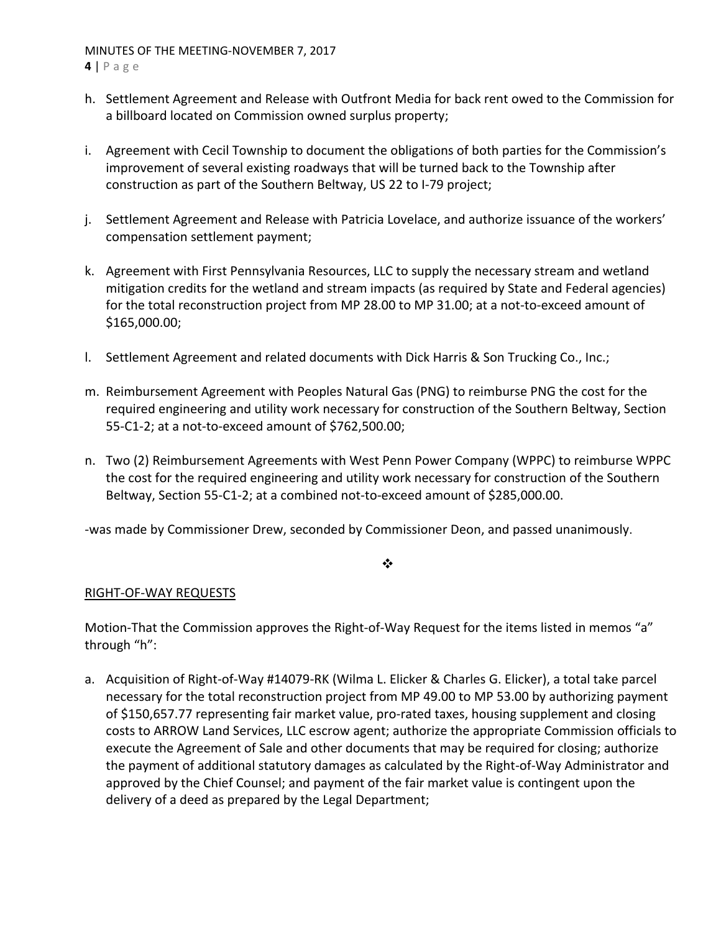- **4** | Page
- h. Settlement Agreement and Release with Outfront Media for back rent owed to the Commission for a billboard located on Commission owned surplus property;
- i. Agreement with Cecil Township to document the obligations of both parties for the Commission's improvement of several existing roadways that will be turned back to the Township after construction as part of the Southern Beltway, US 22 to I‐79 project;
- j. Settlement Agreement and Release with Patricia Lovelace, and authorize issuance of the workers' compensation settlement payment;
- k. Agreement with First Pennsylvania Resources, LLC to supply the necessary stream and wetland mitigation credits for the wetland and stream impacts (as required by State and Federal agencies) for the total reconstruction project from MP 28.00 to MP 31.00; at a not-to-exceed amount of \$165,000.00;
- l. Settlement Agreement and related documents with Dick Harris & Son Trucking Co., Inc.;
- m. Reimbursement Agreement with Peoples Natural Gas (PNG) to reimburse PNG the cost for the required engineering and utility work necessary for construction of the Southern Beltway, Section 55‐C1‐2; at a not‐to‐exceed amount of \$762,500.00;
- n. Two (2) Reimbursement Agreements with West Penn Power Company (WPPC) to reimburse WPPC the cost for the required engineering and utility work necessary for construction of the Southern Beltway, Section 55‐C1‐2; at a combined not‐to‐exceed amount of \$285,000.00.

‐was made by Commissioner Drew, seconded by Commissioner Deon, and passed unanimously.

### $\ddot{\bullet}$

## RIGHT‐OF‐WAY REQUESTS

Motion-That the Commission approves the Right-of-Way Request for the items listed in memos "a" through "h":

a. Acquisition of Right‐of‐Way #14079‐RK (Wilma L. Elicker & Charles G. Elicker), a total take parcel necessary for the total reconstruction project from MP 49.00 to MP 53.00 by authorizing payment of \$150,657.77 representing fair market value, pro‐rated taxes, housing supplement and closing costs to ARROW Land Services, LLC escrow agent; authorize the appropriate Commission officials to execute the Agreement of Sale and other documents that may be required for closing; authorize the payment of additional statutory damages as calculated by the Right‐of‐Way Administrator and approved by the Chief Counsel; and payment of the fair market value is contingent upon the delivery of a deed as prepared by the Legal Department;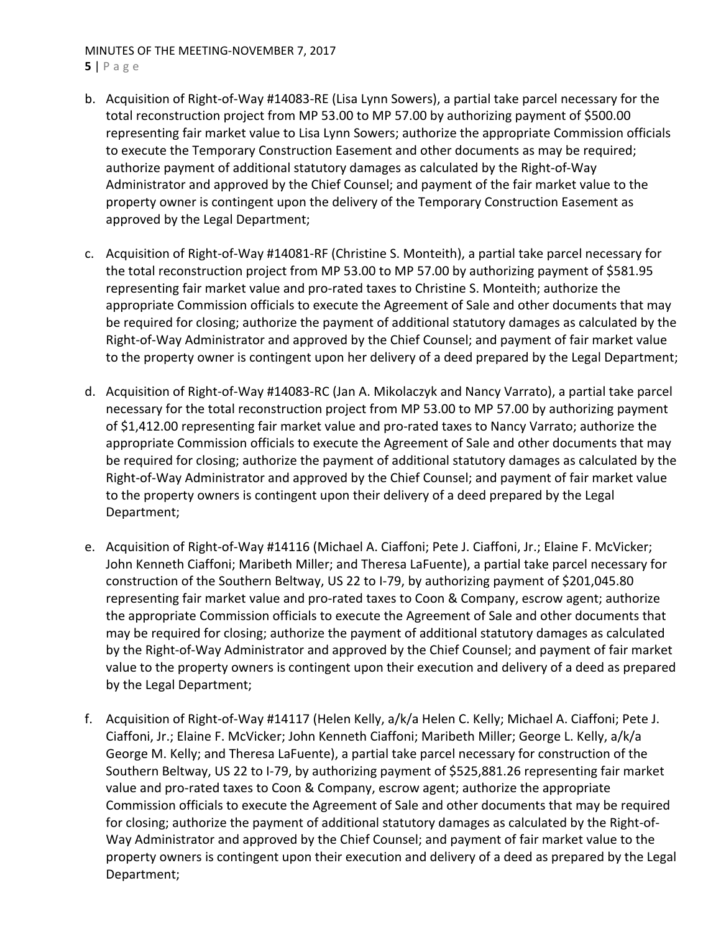- **5** | Page
- b. Acquisition of Right‐of‐Way #14083‐RE (Lisa Lynn Sowers), a partial take parcel necessary for the total reconstruction project from MP 53.00 to MP 57.00 by authorizing payment of \$500.00 representing fair market value to Lisa Lynn Sowers; authorize the appropriate Commission officials to execute the Temporary Construction Easement and other documents as may be required; authorize payment of additional statutory damages as calculated by the Right‐of‐Way Administrator and approved by the Chief Counsel; and payment of the fair market value to the property owner is contingent upon the delivery of the Temporary Construction Easement as approved by the Legal Department;
- c. Acquisition of Right‐of‐Way #14081‐RF (Christine S. Monteith), a partial take parcel necessary for the total reconstruction project from MP 53.00 to MP 57.00 by authorizing payment of \$581.95 representing fair market value and pro-rated taxes to Christine S. Monteith; authorize the appropriate Commission officials to execute the Agreement of Sale and other documents that may be required for closing; authorize the payment of additional statutory damages as calculated by the Right‐of‐Way Administrator and approved by the Chief Counsel; and payment of fair market value to the property owner is contingent upon her delivery of a deed prepared by the Legal Department;
- d. Acquisition of Right‐of‐Way #14083‐RC (Jan A. Mikolaczyk and Nancy Varrato), a partial take parcel necessary for the total reconstruction project from MP 53.00 to MP 57.00 by authorizing payment of \$1,412.00 representing fair market value and pro-rated taxes to Nancy Varrato; authorize the appropriate Commission officials to execute the Agreement of Sale and other documents that may be required for closing; authorize the payment of additional statutory damages as calculated by the Right‐of‐Way Administrator and approved by the Chief Counsel; and payment of fair market value to the property owners is contingent upon their delivery of a deed prepared by the Legal Department;
- e. Acquisition of Right‐of‐Way #14116 (Michael A. Ciaffoni; Pete J. Ciaffoni, Jr.; Elaine F. McVicker; John Kenneth Ciaffoni; Maribeth Miller; and Theresa LaFuente), a partial take parcel necessary for construction of the Southern Beltway, US 22 to I‐79, by authorizing payment of \$201,045.80 representing fair market value and pro‐rated taxes to Coon & Company, escrow agent; authorize the appropriate Commission officials to execute the Agreement of Sale and other documents that may be required for closing; authorize the payment of additional statutory damages as calculated by the Right‐of‐Way Administrator and approved by the Chief Counsel; and payment of fair market value to the property owners is contingent upon their execution and delivery of a deed as prepared by the Legal Department;
- f. Acquisition of Right‐of‐Way #14117 (Helen Kelly, a/k/a Helen C. Kelly; Michael A. Ciaffoni; Pete J. Ciaffoni, Jr.; Elaine F. McVicker; John Kenneth Ciaffoni; Maribeth Miller; George L. Kelly, a/k/a George M. Kelly; and Theresa LaFuente), a partial take parcel necessary for construction of the Southern Beltway, US 22 to I‐79, by authorizing payment of \$525,881.26 representing fair market value and pro‐rated taxes to Coon & Company, escrow agent; authorize the appropriate Commission officials to execute the Agreement of Sale and other documents that may be required for closing; authorize the payment of additional statutory damages as calculated by the Right‐of‐ Way Administrator and approved by the Chief Counsel; and payment of fair market value to the property owners is contingent upon their execution and delivery of a deed as prepared by the Legal Department;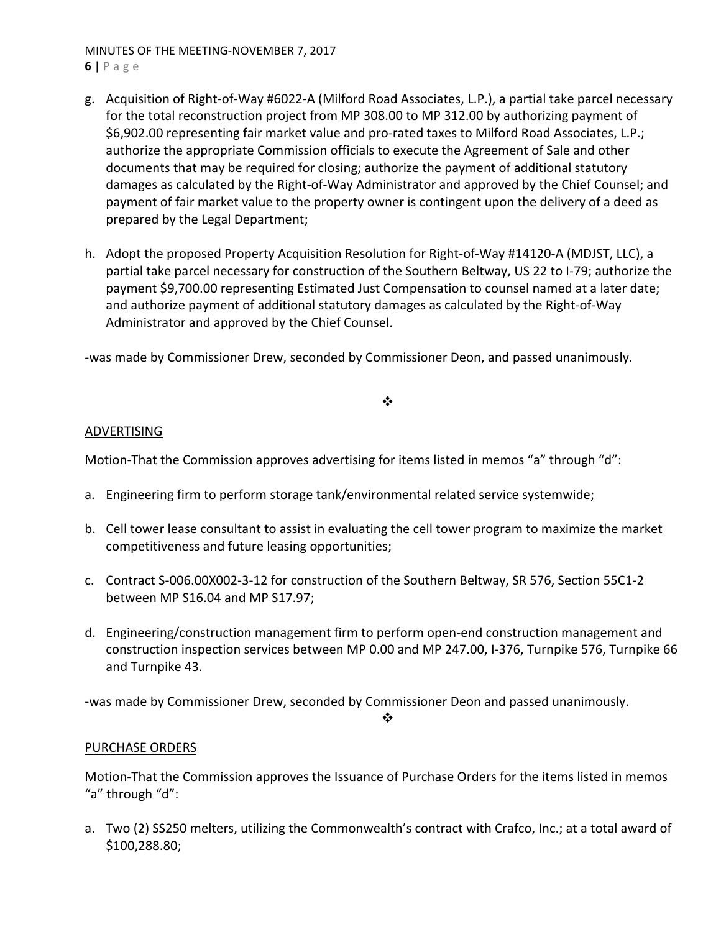- **6** | Page
- g. Acquisition of Right‐of‐Way #6022‐A (Milford Road Associates, L.P.), a partial take parcel necessary for the total reconstruction project from MP 308.00 to MP 312.00 by authorizing payment of \$6,902.00 representing fair market value and pro‐rated taxes to Milford Road Associates, L.P.; authorize the appropriate Commission officials to execute the Agreement of Sale and other documents that may be required for closing; authorize the payment of additional statutory damages as calculated by the Right‐of‐Way Administrator and approved by the Chief Counsel; and payment of fair market value to the property owner is contingent upon the delivery of a deed as prepared by the Legal Department;
- h. Adopt the proposed Property Acquisition Resolution for Right‐of‐Way #14120‐A (MDJST, LLC), a partial take parcel necessary for construction of the Southern Beltway, US 22 to I‐79; authorize the payment \$9,700.00 representing Estimated Just Compensation to counsel named at a later date; and authorize payment of additional statutory damages as calculated by the Right‐of‐Way Administrator and approved by the Chief Counsel.

‐was made by Commissioner Drew, seconded by Commissioner Deon, and passed unanimously.

# ❖

## ADVERTISING

Motion-That the Commission approves advertising for items listed in memos "a" through "d":

- a. Engineering firm to perform storage tank/environmental related service systemwide;
- b. Cell tower lease consultant to assist in evaluating the cell tower program to maximize the market competitiveness and future leasing opportunities;
- c. Contract S‐006.00X002‐3‐12 for construction of the Southern Beltway, SR 576, Section 55C1‐2 between MP S16.04 and MP S17.97;
- d. Engineering/construction management firm to perform open‐end construction management and construction inspection services between MP 0.00 and MP 247.00, I‐376, Turnpike 576, Turnpike 66 and Turnpike 43.

‐was made by Commissioner Drew, seconded by Commissioner Deon and passed unanimously.

 $\frac{1}{2}$ 

## PURCHASE ORDERS

Motion‐That the Commission approves the Issuance of Purchase Orders for the items listed in memos "a" through "d":

a. Two (2) SS250 melters, utilizing the Commonwealth's contract with Crafco, Inc.; at a total award of \$100,288.80;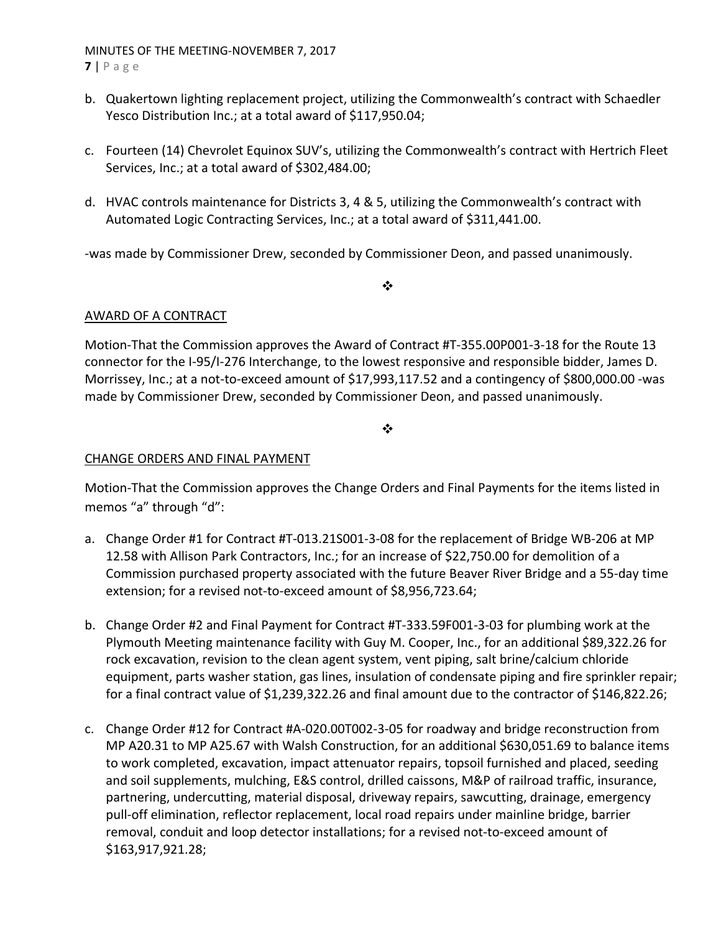**7** | Page

- b. Quakertown lighting replacement project, utilizing the Commonwealth's contract with Schaedler Yesco Distribution Inc.; at a total award of \$117,950.04;
- c. Fourteen (14) Chevrolet Equinox SUV's, utilizing the Commonwealth's contract with Hertrich Fleet Services, Inc.; at a total award of \$302,484.00;
- d. HVAC controls maintenance for Districts 3, 4 & 5, utilizing the Commonwealth's contract with Automated Logic Contracting Services, Inc.; at a total award of \$311,441.00.

‐was made by Commissioner Drew, seconded by Commissioner Deon, and passed unanimously.

 $\cdot$ 

# AWARD OF A CONTRACT

Motion‐That the Commission approves the Award of Contract #T‐355.00P001‐3‐18 for the Route 13 connector for the I‐95/I‐276 Interchange, to the lowest responsive and responsible bidder, James D. Morrissey, Inc.; at a not‐to‐exceed amount of \$17,993,117.52 and a contingency of \$800,000.00 ‐was made by Commissioner Drew, seconded by Commissioner Deon, and passed unanimously.

 $\cdot$ 

## CHANGE ORDERS AND FINAL PAYMENT

Motion‐That the Commission approves the Change Orders and Final Payments for the items listed in memos "a" through "d":

- a. Change Order #1 for Contract #T‐013.21S001‐3‐08 for the replacement of Bridge WB‐206 at MP 12.58 with Allison Park Contractors, Inc.; for an increase of \$22,750.00 for demolition of a Commission purchased property associated with the future Beaver River Bridge and a 55‐day time extension; for a revised not‐to‐exceed amount of \$8,956,723.64;
- b. Change Order #2 and Final Payment for Contract #T‐333.59F001‐3‐03 for plumbing work at the Plymouth Meeting maintenance facility with Guy M. Cooper, Inc., for an additional \$89,322.26 for rock excavation, revision to the clean agent system, vent piping, salt brine/calcium chloride equipment, parts washer station, gas lines, insulation of condensate piping and fire sprinkler repair; for a final contract value of \$1,239,322.26 and final amount due to the contractor of \$146,822.26;
- c. Change Order #12 for Contract #A‐020.00T002‐3‐05 for roadway and bridge reconstruction from MP A20.31 to MP A25.67 with Walsh Construction, for an additional \$630,051.69 to balance items to work completed, excavation, impact attenuator repairs, topsoil furnished and placed, seeding and soil supplements, mulching, E&S control, drilled caissons, M&P of railroad traffic, insurance, partnering, undercutting, material disposal, driveway repairs, sawcutting, drainage, emergency pull‐off elimination, reflector replacement, local road repairs under mainline bridge, barrier removal, conduit and loop detector installations; for a revised not‐to‐exceed amount of \$163,917,921.28;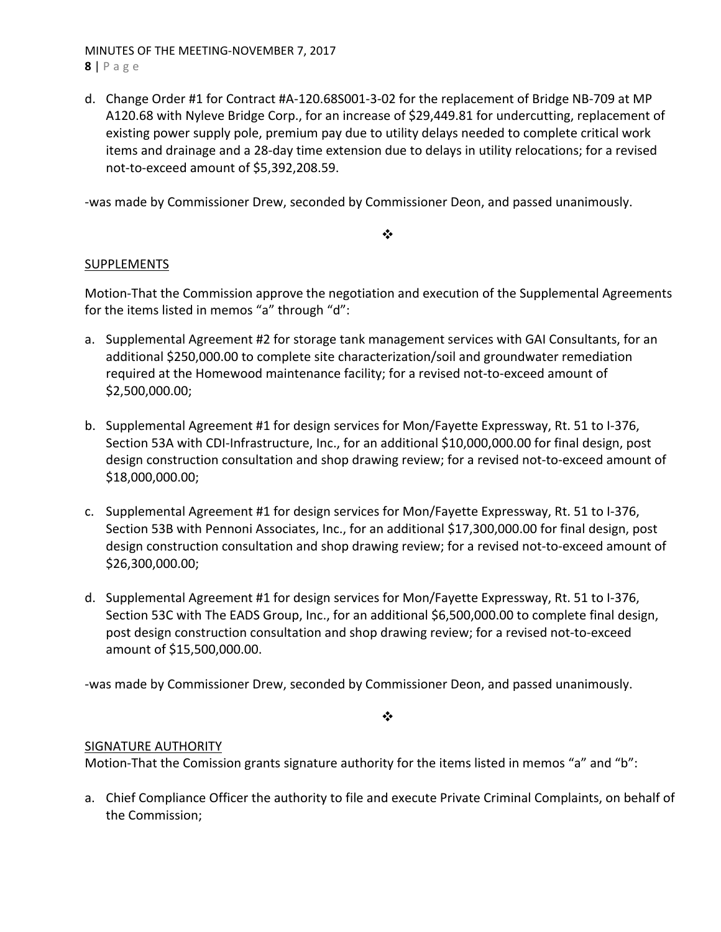MINUTES OF THE MEETING‐NOVEMBER 7, 2017 **8** | Page

d. Change Order #1 for Contract #A‐120.68S001‐3‐02 for the replacement of Bridge NB‐709 at MP A120.68 with Nyleve Bridge Corp., for an increase of \$29,449.81 for undercutting, replacement of existing power supply pole, premium pay due to utility delays needed to complete critical work items and drainage and a 28‐day time extension due to delays in utility relocations; for a revised not‐to‐exceed amount of \$5,392,208.59.

‐was made by Commissioner Drew, seconded by Commissioner Deon, and passed unanimously.

❖

# **SUPPLEMENTS**

Motion‐That the Commission approve the negotiation and execution of the Supplemental Agreements for the items listed in memos "a" through "d":

- a. Supplemental Agreement #2 for storage tank management services with GAI Consultants, for an additional \$250,000.00 to complete site characterization/soil and groundwater remediation required at the Homewood maintenance facility; for a revised not‐to‐exceed amount of \$2,500,000.00;
- b. Supplemental Agreement #1 for design services for Mon/Fayette Expressway, Rt. 51 to I‐376, Section 53A with CDI‐Infrastructure, Inc., for an additional \$10,000,000.00 for final design, post design construction consultation and shop drawing review; for a revised not‐to‐exceed amount of \$18,000,000.00;
- c. Supplemental Agreement #1 for design services for Mon/Fayette Expressway, Rt. 51 to I‐376, Section 53B with Pennoni Associates, Inc., for an additional \$17,300,000.00 for final design, post design construction consultation and shop drawing review; for a revised not‐to‐exceed amount of \$26,300,000.00;
- d. Supplemental Agreement #1 for design services for Mon/Fayette Expressway, Rt. 51 to I‐376, Section 53C with The EADS Group, Inc., for an additional \$6,500,000.00 to complete final design, post design construction consultation and shop drawing review; for a revised not‐to‐exceed amount of \$15,500,000.00.

‐was made by Commissioner Drew, seconded by Commissioner Deon, and passed unanimously.

❖

# SIGNATURE AUTHORITY

Motion-That the Comission grants signature authority for the items listed in memos "a" and "b":

a. Chief Compliance Officer the authority to file and execute Private Criminal Complaints, on behalf of the Commission;